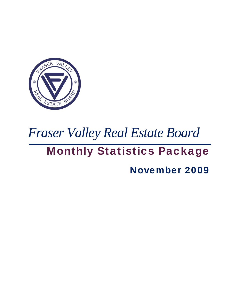

# *Fraser Valley Real Estate Board*

## Monthly Statistics Package

November 2009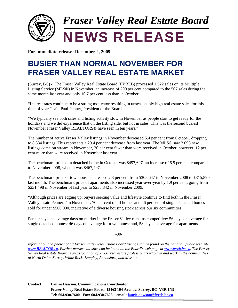

**For immediate release: December 2, 2009**

### **BUSIER THAN NORMAL NOVEMBER FOR FRASER VALLEY REAL ESTATE MARKET**

(Surrey, BC) - The Fraser Valley Real Estate Board (FVREB) processed 1,522 sales on its Multiple Listing Service (MLS®) in November, an increase of 200 per cent compared to the 507 sales during the same month last year and only 10.7 per cent less than in October.

"Interest rates continue to be a strong motivator resulting in unseasonably high real estate sales for this time of year," said Paul Penner, President of the Board.

"We typically see both sales and listing activity slow in November as people start to get ready for the holidays and we did experience that on the listing side, but not in sales. This was the second busiest November Fraser Valley REALTORS® have seen in ten years."

The number of active Fraser Valley listings in November decreased 5.4 per cent from October, dropping to 8,334 listings. This represents a 29.4 per cent decrease from last year. The MLS® saw 2,093 new listings come on stream in November, 26 per cent fewer than were received in October, however, 12 per cent more than were received in November last year.

The benchmark price of a detached home in October was \$497,697, an increase of 6.5 per cent compared to November 2008, when it was \$467,497.

The benchmark price of townhouses increased 2.3 per cent from \$308,647 in November 2008 to \$315,890 last month. The benchmark price of apartments also increased year-over-year by 1.9 per cent, going from \$231,498 in November of last year to \$235,842 in November 2009.

"Although prices are edging up, buyers seeking value and lifestyle continue to find both in the Fraser Valley," said Penner. "In November, 70 per cent of all homes and 46 per cent of single detached homes sold for under \$500,000, indicative of a diverse housing stock across our six communities."

Penner says the average days on market in the Fraser Valley remains competitive: 56 days on average for single detached homes; 46 days on average for townhomes; and, 58 days on average for apartments.

#### -30-

*Information and photos of all Fraser Valley Real Estate Board listings can be found on the national, public web site www.REALTOR.ca. Further market statistics can be found on the Board's web page at www.fvreb.bc.ca. The Fraser Valley Real Estate Board is an association of 2,968 real estate professionals who live and work in the communities of North Delta, Surrey, White Rock, Langley, Abbotsford, and Mission.* 

**Contact: Laurie Dawson, Communications Coordinator Fraser Valley Real Estate Board, 15463 104 Avenue, Surrey, BC V3R 1N9 Tel: 604.930.7600 Fax: 604.930.7623 email: laurie.dawson@fvreb.bc.ca**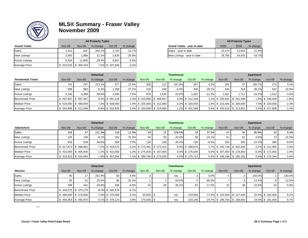

### **MLS® Summary - Fraser Valley November 2009**

|                        |                                  |        | <b>All Property Types</b> |                |          |                             |        | <b>All Property Types</b> |          |
|------------------------|----------------------------------|--------|---------------------------|----------------|----------|-----------------------------|--------|---------------------------|----------|
| <b>Grand Totals</b>    | Nov-09                           | Nov-08 | % change                  | Oct-09         | % change | Grand Totals - year to date | 2009   | 2008                      | % change |
| Sales                  | .522                             | 507    | 200.2%                    | 1.704          | $-10.7%$ | Sales - year to date        | 15.474 | 12.693                    | 21.9%    |
| <b>New Listings</b>    | 2,093                            | .866   | 12.2%                     | 2,826          | $-25.9%$ | New Listings - year to date | 28,768 | 34,543                    | $-16.7%$ |
| <b>Active Listings</b> | 8.334                            | 11.800 | $-29.4%$                  | 8.807          | $-5.4%$  |                             |        |                           |          |
| <b>Average Price</b>   | $\frac{1}{2}$ 423,033 \$ 393,443 |        |                           | 7.5% \$437,846 | $-3.4%$  |                             |        |                           |          |

|                | <b>All Property Types</b> |          |          |                             |        | <b>All Property Types</b> |          |
|----------------|---------------------------|----------|----------|-----------------------------|--------|---------------------------|----------|
|                | % change                  | $Oct-09$ | % change | Grand Totals - year to date | 2009   | 2008                      | % change |
| $\overline{7}$ | 200.2%                    | .704     | $-10.7%$ | Sales - year to date        | 15.474 | 12.693                    | 21.9%    |
| 65             | 12.2%                     | 2.826    | $-25.9%$ | New Listings - year to date | 28.768 | 34.543                    | $-16.7%$ |

|                           |        |                         | <b>Detached</b> |                 |          |                          |               | <b>Townhouse</b> |                 |          |                                |                          | Apartment |                 |          |
|---------------------------|--------|-------------------------|-----------------|-----------------|----------|--------------------------|---------------|------------------|-----------------|----------|--------------------------------|--------------------------|-----------|-----------------|----------|
| <b>Residential Totals</b> | Nov-09 | Nov-08                  | % change        | Oct-09          | % change | Nov-09                   | <b>Nov-08</b> | % change         | Oct-09          | % change | <b>Nov-09</b>                  | Nov-08                   | % change  | Oct-09          | % change |
| <b>Sales</b>              | 742    | 237                     | 213.1%          | 877             | $-15.4%$ | 300 <sub>1</sub>         | 112           | 167.9%           | 307             | $-2.3%$  | 282                            | 97                       | 190.7%    | 273             | 3.3%     |
| <b>New Listings</b>       | 938    | 882                     | 6.3%            | 1.289           | $-27.2%$ | 316                      | 336           | $-6.0%$          | 446             | $-29.1%$ | 434                            | 319                      | 36.1%     | 522             | $-16.9%$ |
| <b>Active Listings</b>    | 3.245  | 5.389                   | $-39.8%$        | 3.490           | $-7.0%$  | 878                      | 1.535         | $-42.8%$         | 1.001           | $-12.3%$ | 1.451                          | 1.71 <sup>1</sup>        | $-15.2%$  | 1,512           | $-4.0%$  |
| <b>Benchmark Price</b>    |        | $$497,697$ $$467,497$   |                 | 6.5% \$491,128  |          | 1.3% \$315,890 \$308,647 |               |                  | 2.3% \$ 312,339 |          |                                | 1.1% \$235,842 \$231,498 |           | 1.9% \$ 240,048 | $-1.8%$  |
| <b>Median Price</b>       |        | $$515.000$ $$480.000$   |                 | 7.3% \$ 508,000 |          | 1.4% \$325,000 \$312,000 |               |                  | 4.2% \$ 320,000 |          |                                | 1.6% \$215,000 \$200,000 |           | 7.5% \$ 220,000 | $-2.3%$  |
| Average Price             |        | $$545,488$ \ $$511,698$ |                 | 6.6% \$ 532,939 |          | 2.4% \$323,588 \$319,883 |               |                  | 1.2% \$ 331,568 |          | $-2.4\%$ \$ 225,522 \$ 213,801 |                          |           | 5.5% \$ 227,808 | $-1.0%$  |

٠

|                        |        |                       | <b>Detached</b> |                |          |                                |        | <b>Townhouse</b> |                    |          |               |                               | Apartment |                     |          |
|------------------------|--------|-----------------------|-----------------|----------------|----------|--------------------------------|--------|------------------|--------------------|----------|---------------|-------------------------------|-----------|---------------------|----------|
| Abbotsford             | Nov-09 | Nov-08                | % change        | Oct-09         | % change | <b>Nov-09</b>                  | Nov-08 | % change         | Oct-09             | % change | <b>Nov-09</b> | Nov-08                        | % change  | $Oct-09$            | % change |
| Sales                  | 104.   | 47                    | 121.3%          | 118            | $-11.9%$ | 44                             | 21     | 109.5%           | 32                 | 37.5%    | 47            | 26                            | 80.8%     | 43                  | 9.3%     |
| <b>New Listings</b>    | 125    | 136                   | $-8.1%$         | 182.           | $-31.3%$ | 44                             | 55     | $-20.0%$         | 58                 | $-24.1%$ |               | 61                            | 0.0%      | 73                  | $-16.4%$ |
| <b>Active Listings</b> | 519    | 818                   | $-36.6%$        | 558            | $-7.0%$  | 130                            | 238    | $-45.4%$         | 139                | $-6.5%$  | 263           | 300                           | $-12.3%$  | 286                 | $-8.0%$  |
| <b>Benchmark Price</b> |        | $$417,873$ $$388,861$ |                 | 7.5% \$418.575 |          | $-0.2\%$ \$ 273,362 \$ 273,415 |        |                  | $0.0\%$ \$ 268,875 |          |               | 1.7% \$202.739 \$202.256      |           | 0.2% \$ 211.065     | $-3.9%$  |
| <b>Median Price</b>    |        | $$410.000$ $$405.000$ |                 | 1.2% \$415.000 |          | $-1.2\%$ \$ 275,000 \$ 267,000 |        |                  | 3.0% \$ 275.000    |          |               | $0.0\%$ \$ 167.000 \$ 178.300 |           | $-6.3\%$ \$ 171.000 | $-2.3%$  |
| <b>Average Price</b>   |        | $$424,623$ $$416,664$ |                 | 1.9% \$457,294 |          | $-7.1\%$ \$ 290,790 \$ 273,030 |        |                  | 6.5% \$ 275,712    |          |               | 5.5% \$186,198 \$185,165      |           | 0.6% \$176,344      | 5.6%     |

|                        |               |                      | <b>Detached</b> |                     |          |             |        | <b>Townhouse</b> |          |           |                                 |                                 | Apartment |                 |          |
|------------------------|---------------|----------------------|-----------------|---------------------|----------|-------------|--------|------------------|----------|-----------|---------------------------------|---------------------------------|-----------|-----------------|----------|
| Mission                | <b>Nov-09</b> | Nov-08               | % change        | $Oct-09$            | % change | Nov-09      | Nov-08 | % change         | $Oct-09$ | % change  | Nov-09                          | <b>Nov-08</b>                   | % change  | $Oct-09$        | % change |
| Sales                  | 60            | 17                   | 252.9%          | 58                  | 3.4%     |             |        | n/a              |          | 0.0%      |                                 |                                 | 150.0%    |                 | 150.0%   |
| <b>New Listings</b>    | 65            | 52                   | 25.0%           | 96                  | $-32.3%$ |             |        | $-50.0\%$        |          | $-80.0\%$ |                                 |                                 | $-12.5%$  |                 | $-12.5%$ |
| <b>Active Listings</b> | 309           | 441                  | $-29.9%$        | 336                 | $-8.0\%$ | 44          | 69     | $-36.2%$         | 53       | $-17.0%$  | 32 <sub>1</sub>                 | 38                              | $-15.8%$  | 34              | $-5.9%$  |
| <b>Benchmark Price</b> |               | $343.275$ S 375.175  |                 | $-8.5\%$ \$ 345.675 | $-0.7%$  |             |        |                  |          |           |                                 |                                 |           |                 |          |
| <b>Median Price</b>    |               | $398,000$ \$ 370,000 |                 | 7.6% \$ 375.000     | 6.1%     | $50.500$ \$ |        | n/a              | 219.500  |           |                                 | $-77.0\%$ \$ 153,500 \$ 127,500 |           | 20.4% \$162.000 | $-5.2%$  |
| Average Price          |               | 393,354 \$392,970    |                 | 0.1% \$ 379,123     | 3.8%     | 175,500 \$  |        | n/a              | 233.166  |           | $-24.7\%$ \$ 196,700 \$ 158,650 |                                 |           | 24.0% \$181,000 | 8.7%     |

 $\overline{\phantom{0}}$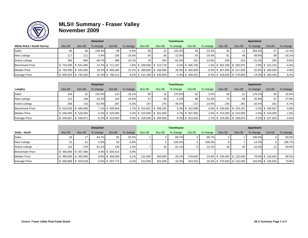

#### **MLS® Summary - Fraser Valley November 2009**

| $\sim$                           |               |                                     | <b>Detached</b> |                  |          |               |                             | <b>Townhouse</b> |                     |          |                 |                                | Apartment |                  |          |
|----------------------------------|---------------|-------------------------------------|-----------------|------------------|----------|---------------|-----------------------------|------------------|---------------------|----------|-----------------|--------------------------------|-----------|------------------|----------|
| <b>White Rock / South Surrey</b> | <b>Nov-09</b> | Nov-08                              | % change        | $Oct-09$         | % change | <b>Nov-09</b> | Nov-08                      | % change         | Oct-09              | % change | Nov-09          | Nov-08                         | % change  | $Oct-09$         | % change |
| <b>Sales</b>                     | 95            | 28                                  | 239.3%          | 99               | $-4.0%$  | 38            | 15 <sub>1</sub>             | 153.3%           | 49                  | $-22.4%$ | 50 <sub>1</sub> |                                | 354.5%    | 57               | $-12.3%$ |
| <b>New Listings</b>              | 117           | 111                                 | 5.4%            | 156              | $-25.0%$ | 40            | 46                          | $-13.0%$         | 54                  | $-25.9%$ | 81              | 48                             | 68.8%     | 99               | $-18.2%$ |
| <b>Active Listings</b>           | 356           | 694                                 | $-48.7%$        | 396              | $-10.1%$ | 78            | 204                         | $-61.8%$         | 101                 | $-22.8%$ | 248             | 314                            | $-21.0%$  | 250              | $-0.8%$  |
| <b>Benchmark Price</b>           |               | $$724,295$ $$631,485$               |                 | 14.7% \$711.347  |          |               | 1.8% \$439,656 \$413,778    |                  | 6.3% \$445,706      |          |                 | $-1.4\%$ \$ 301,339 \$ 292,975 |           | 2.9% \$ 315,144  | $-4.4%$  |
| <b>Median Price</b>              |               | $$765,000$ $$642,000$               |                 | 19.2% \$ 695,000 |          |               | 10.1% \$ 399,900 \$ 338,000 |                  | 18.3% \$402,000     |          |                 | $-0.5\%$ \$ 267,000 \$ 217,500 |           | 22.8% \$ 280,000 | $-4.6%$  |
| <b>Average Price</b>             |               | $$856,923 \;   \; $742,250 \;   \;$ |                 | 15.4% \$790,112  |          |               | 8.5% \$412,196 \$435,500    |                  | $-5.4\%$ \$ 440,431 |          |                 | $-6.4\%$ \$ 318,628 \$ 278,863 |           | 14.3% \$ 294,445 | 8.2%     |

|                        |                        |                       | <b>Detached</b> |                     |          |                            |        | <b>Townhouse</b> |                 |          |                               |                          | Apartment |                     |          |
|------------------------|------------------------|-----------------------|-----------------|---------------------|----------|----------------------------|--------|------------------|-----------------|----------|-------------------------------|--------------------------|-----------|---------------------|----------|
| Langley                | Nov-09                 | Nov-08                | % change        | $Oct-09$            | % change | <b>Nov-09</b>              | Nov-08 | % change         | Oct-09          | % change | Nov-09                        | <b>Nov-08</b>            | % change  | $Oct-09$            | % change |
| <b>Sales</b>           | 104                    | 32                    | 225.0%          | 124                 | $-16.1%$ | 60                         | 16     | 275.0%           | 62              | $-3.2%$  | 58                            |                          | 176.2%    | 50                  | 16.0%    |
| <b>New Listings</b>    | 121                    | 148                   | $-18.2%$        | 144                 | $-16.0%$ | 57                         | 59     | $-3.4%$          | 98              | $-41.8%$ | 70 I                          | 49                       | 42.9%     | 97                  | $-27.8%$ |
| <b>Active Listings</b> | 269                    | 716                   | $-62.4%$        | 287                 | $-6.3%$  | 147                        | 275    | $-46.5%$         | 172             | $-14.5%$ | 235                           | 281                      | $-16.4%$  | 252                 | $-6.7%$  |
| <b>Benchmark Price</b> |                        | \$518.526 \$484.066   |                 | 7.1% \$ 509,654     |          | 1.7% \$ 314,001 \$ 298,335 |        |                  | 5.3% \$ 312.098 |          | $0.6\%$ \$ 233.692 \$ 233.231 |                          |           | $0.2\%$ \$ 235.567  | $-0.8%$  |
| <b>Median Price</b>    |                        | $$546,000$ $$518,000$ |                 | 5.4% \$ 520,000     |          | 5.0% \$ 315,000 \$ 301,000 |        |                  | 4.7% \$ 307,000 |          |                               | 2.6% \$215.000 \$210.000 |           | 2.4% \$219.000      | $-1.8%$  |
| <b>Average Price</b>   | $$545,607$ \ \$546,671 |                       |                 | $-0.2\%$ \$ 519,582 |          | 5.0% \$ 318,945 \$ 294,500 |        |                  | 8.3% \$ 313,635 |          |                               | 1.7% \$219,382 \$228,876 |           | $-4.1\%$ \$ 227,503 | $-3.6%$  |

|                        |                 |                   | <b>Detached</b> |                 |          |               |         | <b>Townhouse</b> |         |            |                                 |        | Apartment |                   |          |
|------------------------|-----------------|-------------------|-----------------|-----------------|----------|---------------|---------|------------------|---------|------------|---------------------------------|--------|-----------|-------------------|----------|
| Delta - North          | <b>Nov-09</b>   | Nov-08            | % change        | Oct-09          | % change | <b>Nov-09</b> | Nov-08  | % change         | Oct-09  | % change   | <b>Nov-09</b>                   | Nov-08 | % change  | $Oct-09$          | % change |
| Sales                  | 28 <sub>1</sub> |                   | 64.7%           | 60              | $-53.3%$ |               |         | $-66.7%$         |         | $-66.7%$   |                                 |        | 100.0%    |                   | $-50.0%$ |
| <b>New Listings</b>    |                 | 51                | 0.0%            | 54              | $-5.6%$  |               |         | $-100.0%$        |         | $-100.0\%$ |                                 |        | 14.3%     |                   | 166.7%   |
| <b>Active Listings</b> | 132             | 270               | $-51.1%$        | 130             | 1.5%     |               | 18      | $-61.1%$         |         | $-22.2%$   | 18 <sub>1</sub>                 | 20     | $-10.0%$  | $12 \overline{ }$ | 50.0%    |
| <b>Benchmark Price</b> |                 | 495.984 \$457.486 |                 | 8.4% \$ 500.414 | $-0.9%$  |               |         |                  |         |            |                                 |        |           |                   |          |
| <b>Median Price</b>    |                 | 495,000 \$455,000 |                 | 8.8% \$466,500  | 6.1%     | 212.500       | 300.000 | $-29.2%$         | 278.000 |            | $-23.6\%$ \$ 235,000 \$ 132,000 |        |           | 78.0% \$126.000   | 86.5%    |
| <b>Average Price</b>   |                 | 506,689 \$503,629 |                 | 0.6% \$ 507,772 | $-0.2%$  | 212,500       | 323,266 | $-34.3%$         | 323,333 |            | $-34.3\%$ \$ 270,500 \$ 132,000 |        |           | 104.9% \$ 155,625 | 73.8%    |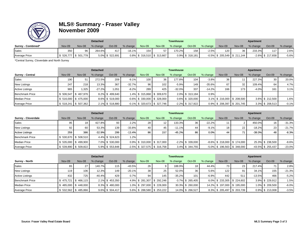

#### **MLS® Summary - Fraser Valley November 2009**

| STATE &              |        |                    | <b>Detached</b> |                 |          |               |                               | Townhouse |                    |          |        |                                | Apartment |                     |          |
|----------------------|--------|--------------------|-----------------|-----------------|----------|---------------|-------------------------------|-----------|--------------------|----------|--------|--------------------------------|-----------|---------------------|----------|
| Surrey - Combined*   | Nov-09 | Nov-08             | % change        | Oct-09          | % change | <b>Nov-09</b> | <b>Nov-08</b>                 | % change  | $Oct-09$           | % change | Nov-09 | Nov-08                         | % change  | $Oct-09$            | % change |
| <b>Sales</b>         | 350    |                    | 264.6%          | 417             | -16.1%l  | 154           |                               | 170.2%    | 158                | $-2.5%$  | 120    | 36                             | 233.3%    | 117                 | 2.6%     |
| <b>Average Price</b> |        | 526,777 \$ 501,778 |                 | 5.0% \$ 522,691 |          |               | $0.8\%$ \$ 316,510 \$ 313,667 |           | $0.9\%$ \$ 318,181 |          |        | $-0.5\%$ \$ 205,549 \$ 211,144 |           | $-2.6\%$ \$ 217.658 | $-5.6%$  |

\*Central Surrey, Cloverdale and North Surrey

|                         |        |                       | <b>Detached</b> |                 |          |        |                                | Townhouse |                     |          |               |                          | Apartment |                 |          |
|-------------------------|--------|-----------------------|-----------------|-----------------|----------|--------|--------------------------------|-----------|---------------------|----------|---------------|--------------------------|-----------|-----------------|----------|
| <b>Surrey - Central</b> | Nov-09 | Nov-08                | % change        | Oct-09          | % change | Nov-09 | <b>Nov-08</b>                  | % change  | $Oct-09$            | % change | <b>Nov-09</b> | Nov-08                   | % change  | Oct-09          | % change |
| Sales                   | 190    | 51                    | 272.5%          | 209             | $-9.1%$  | 100    | 36                             | 177.8%    | 104                 | $-3.8%$  | 36 I          |                          | 227.3%    | 30              | 20.0%    |
| <b>New Listings</b>     | 247    | 218                   | 13.3%           | 367             | $-32.7%$ | 96     | 102                            | $-5.9%$   | 149                 | $-35.6%$ | 67            | 32                       | 109.4%    | 64              | 4.7%     |
| <b>Active Listings</b>  | 965    | 1.325                 | $-27.2%$        | 1.051           | $-8.2%$  | 289    | 425                            | $-32.0%$  | 337                 | $-14.2%$ | 166           | 173.                     | $-4.0%$   | 161             | 3.1%     |
| <b>Benchmark Price</b>  |        | 6 506,547 \$467,976   |                 | 8.2% \$499.640  |          |        | 1.4% \$ 315,868 \$ 309,670     |           | 2.0% \$313.184      | 0.9%     |               |                          |           |                 |          |
| <b>Median Price</b>     |        | $$516,000$ $$475,000$ |                 | 8.6% \$ 519,000 |          |        | $-0.6\%$ \$ 330,000 \$ 328,000 |           | 0.6% \$ 320,000     |          |               | 3.1% \$216,000 \$208,500 |           | 3.6% \$212,500  | 1.6%     |
| <b>Average Price</b>    |        | $$518,241$ $$507,362$ |                 | 2.1% \$518,880  |          |        | $-0.1\%$ \$ 320,673 \$ 327,746 |           | $-2.2\%$ \$ 317,922 |          |               | 0.9% \$208,397 \$201,745 |           | 3.3% \$ 208,513 | $-0.1%$  |

|                        |        |                       | <b>Detached</b> |                 |          |                                |                 | <b>Townhouse</b> |                     |          |                                |                                | Apartment |                      |          |
|------------------------|--------|-----------------------|-----------------|-----------------|----------|--------------------------------|-----------------|------------------|---------------------|----------|--------------------------------|--------------------------------|-----------|----------------------|----------|
| Surrey - Cloverdale    | Nov-09 | Nov-08                | % change        | $Oct-09$        | % change | <b>Nov-09</b>                  | Nov-08          | % change         | $Oct-09$            | % change | <b>Nov-09</b>                  | Nov-08                         | % change  | Oct-09               | % change |
| Sales                  | 95     | 18                    | 427.8%          | 93              | 2.2%     | 28 <sub>1</sub>                | 12 <sup>2</sup> | 133.3%           | 36                  | $-22.2%$ |                                |                                | 450.0%    | 16                   | $-31.3%$ |
| <b>New Listings</b>    | 92     | 60                    | 53.3%           | 139             | $-33.8%$ | 40                             | 45              | $-11.1%$         | 44                  | $-9.1%$  | 18 <sup>1</sup>                | 22                             | $-18.2%$  | 23                   | $-21.7%$ |
| <b>Active Listings</b> | 259    | 386                   | $-32.9%$        | 299             | $-13.4%$ | 86                             | 157             | $-45.2%$         | 86                  | 0.0%     | 44                             | 71                             | $-38.0%$  | 48                   | $-8.3%$  |
| <b>Benchmark Price</b> |        | \$530.670 \$508.510   |                 | 4.4% \$524.623  | 1.2%     |                                |                 |                  |                     |          |                                |                                |           |                      |          |
| <b>Median Price</b>    |        | $$535,000$ $$499,900$ |                 | 7.0% \$ 530,000 |          | $0.9\%$ \$ 310,000 \$ 317,000  |                 |                  | $-2.2\%$ \$ 339,000 |          |                                | $-8.6\%$ \$ 218.000 \$ 174.000 |           | 25.3% \$ 238,500     | $-8.6%$  |
| <b>Average Price</b>   |        | $$539,890$ $$509,822$ |                 | 5.9% \$ 553,848 |          | $-2.5\%$ \$ 327,575 \$ 316,758 |                 |                  | 3.4% \$344,755      |          | $-5.0\%$ \$ 196,563 \$ 348,000 |                                |           | $-43.5\%$ \$ 255,437 | $-23.0%$ |

|                        |        |                       | <b>Detached</b> |                 |          |                 |                            | <b>Townhouse</b> |                     |          |                  |                           | Apartment |                 |          |
|------------------------|--------|-----------------------|-----------------|-----------------|----------|-----------------|----------------------------|------------------|---------------------|----------|------------------|---------------------------|-----------|-----------------|----------|
| Surrey - North         | Nov-09 | Nov-08                | % change        | $Oct-09$        | % change | Nov-09          | Nov-08                     | % change         | Oct-09              | % change | Nov-09           | Nov-08                    | % change  | $Oct-09$        | % change |
| <b>Sales</b>           | 65     | 27                    | 140.7%          | 115             | $-43.5%$ | 26              |                            | 188.9%           | 18                  | 44.4%    | 73 I             | 23                        | 217.4%    | 71              | 2.8%     |
| <b>New Listings</b>    | 119    | 106                   | 12.3%           | 149             | $-20.1%$ | 38 <sup>1</sup> | 25                         | 52.0%            | 36                  | 5.6%     | 122 <sub>1</sub> | 91                        | 34.1%     | 155             | $-21.3%$ |
| <b>Active Listings</b> | 432    | 725                   | $-40.4%$        | 429             | 0.7%     | 94              | 145                        | $-35.2%$         | 101                 | $-6.9%$  | 442              | 51'                       | $-13.5%$  | 466             | $-5.2%$  |
| <b>Benchmark Price</b> |        | $$475,721$ $$466,115$ |                 | 2.1% \$453,350  |          |                 | 4.9% \$281,307 \$292,246   |                  | $-3.7\%$ \$ 265,405 |          |                  | 6.0% \$233,305 \$224,602  |           | 3.9% \$229,912  | 1.5%     |
| <b>Median Price</b>    |        | $$485,000$ $$448,000$ |                 | 8.3% \$480,000  |          |                 | 1.0% \$ 297,000 \$ 228,000 |                  | 30.3% \$ 260,000    |          |                  | 14.2% \$197.000 \$195.000 |           | 1.0% \$ 209,500 | $-6.0%$  |
| <b>Average Price</b>   |        | $$532,562$ $$485,866$ |                 | 9.6% \$ 504,417 |          |                 | 5.6% \$288,580 \$253,222   |                  | 14.0% \$ 266,527    |          |                  | 8.3% \$205,497 \$203,739  |           | 0.9% \$ 213,008 | $-3.5%$  |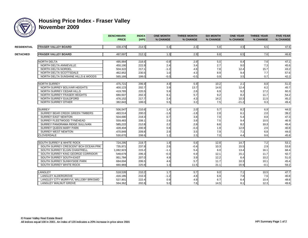

#### **Housing Price Index - Fraser Valley November 2009**

| STATE              |                                     | <b>BENCHMARK</b><br><b>PRICE</b> | <b>INDEX</b><br>(HPI) | <b>ONE MONTH</b><br>% CHANGE | <b>THREE MONTH</b><br>% CHANGE | <b>SIX MONTH</b><br>% CHANGE | <b>ONE YEAR</b><br>% CHANGE | <b>THREE YEAR</b><br>% CHANGE | <b>FIVE YEAR</b><br>% CHANGE |
|--------------------|-------------------------------------|----------------------------------|-----------------------|------------------------------|--------------------------------|------------------------------|-----------------------------|-------------------------------|------------------------------|
| <b>RESIDENTIAL</b> | <b>FRASER VALLEY BOARD</b>          | 438,479                          | 214.5                 | 0.4                          | 2.3                            | 5.8                          | 4.9                         | 6.5                           | 47.6                         |
| <b>DETACHED</b>    | <b>FRASER VALLEY BOARD</b>          | 497,697                          | 212.1                 | 1.3                          | 2.9                            | 6.8                          | 6.5                         | 7.6                           | 46.8                         |
|                    |                                     |                                  |                       |                              |                                |                              |                             |                               |                              |
|                    | <b>NORTH DELTA</b>                  | 495,984                          | 218.6                 | $-0.9$                       | 2.9                            | 5.0                          | 8.4                         | 7.6                           | 47.1                         |
|                    | NORTH DELTA ANNIEVILLE              | 450,190                          | 222.9                 | 2.4                          | 3.4                            | 2.7                          | 9.0                         | 7.3                           | 45.6                         |
|                    | NORTH DELTA NORDEL                  | 504,322                          | 217.1                 | $-1.2$                       | 4.6                            | 7.8                          | 12.4                        | 15.7                          | 43.2                         |
|                    | NORTH DELTA SCOTTSDALE              | 462,952                          | 230.5                 | 1.0                          | 4.3                            | 8.9                          | 9.4                         | 7.7                           | 57.6                         |
|                    | NORTH DELTA SUNSHINE HILLS & WOODS  | 565,166                          | 199.0                 | -5.0                         | $-0.5$                         | 0.9                          | 3.5                         | 0.7                           | 42.2                         |
|                    | <b>NORTH SURREY</b>                 | 475,721                          | 206.9                 | 4.9                          | 5.9                            | 10.2                         | 2.1                         | 8.8                           | 51.0                         |
|                    | NORTH SURREY BOLIVAR HEIGHTS        | 400,123                          | 202.7                 | 3.9                          | 13.7                           | 14.6                         | 12.4                        | 6.2                           | 45.7                         |
|                    | NORTH SURREY CEDAR HILLS            | 419,765                          | 220.5                 | 5.9                          | 2.6                            | 6.9                          | 9.2                         | 17.2                          | 60.3                         |
|                    | NORTH SURREY FRASER HEIGHTS         | 680,507                          | 202.3                 | 6.1                          | 5.7                            | 9.2                          | 8.2                         | 11.7                          | 54.2                         |
|                    | NORTH SURREY GUILDFORD              | 476,152                          | 217.7                 | 2.4                          | 4.3                            | 14.2                         | 10.3                        | 11.5                          | 45.2                         |
|                    | NORTH SURREY OTHER                  | 382,843                          | 199.0                 | 5.5                          | 3.2                            | 7.5                          | $-21.2$                     | 0.3                           | 49.4                         |
|                    |                                     |                                  |                       |                              |                                |                              |                             |                               |                              |
|                    | <b>SURREY</b>                       | 506,547                          | 210.6                 | 1.4                          | 2.0                            | 5.7                          | 8.2                         | 6.9                           | 44.0                         |
|                    | SURREY BEAR CREEK GREEN TIMBERS     | 493,514                          | 200.0                 | $-1.6$                       | $-1.8$                         | 2.8                          | 6.1                         | 2.0                           | 39.2                         |
|                    | <b>SURREY EAST NEWTON</b>           | 504,690                          | 218.3                 | 0.7                          | 3.8                            | 7.0                          | 5.4                         | 8.8                           | 47.3                         |
|                    | SURREY FLEETWOOD TYNEHEAD           | 559,483                          | 208.1                 | 2.6                          | 3.8                            | 7.5                          | 9.4                         | 10.5                          | 46.9                         |
|                    | SURREY PANORAMA RIDGE SULLIVAN      | 585,222                          | 212.8                 | 2.2                          | 2.9                            | 6.6                          | 8.2                         | 10.3                          | 45.4                         |
|                    | <b>SURREY QUEEN MARY PARK</b>       | 428,404                          | 200.9                 | 0.8                          | $-0.3$                         | 1.9                          | 12.8                        | 2.6                           | 40.8                         |
|                    | <b>SURREY WEST NEWTON</b>           | 470,849                          | 209.8                 | 2.9                          | 3.5                            | 7.9                          | 7.1                         | 6.8                           | 44.0                         |
|                    | <b>CLOVERDALE</b>                   | 530,670                          | 208.6                 | 1.2                          | 2.3                            | 7.0                          | 4.4                         | 9.6                           | 45.8                         |
|                    | SOUTH SURREY & WHITE ROCK           | 724,295                          | 219.7                 | 1.8                          | 5.6                            | 12.8                         | 14.7                        | 7.2                           | 53.1                         |
|                    | SOUTH SURREY CRESCENT BCH OCEAN PRK | 735,971                          | 237.9                 | 2.6                          | $-0.4$                         | 10.3                         | 15.5                        | 2.9                           | 53.8                         |
|                    | SOUTH SURREY ELGIN CHANTRELL        | 1.082.923                        | 215.2                 | $-1.1$                       | 5.4                            | 6.0                          | 13.4                        | 16.1                          | 68.4                         |
|                    | SOUTH SURREY KING GEORGE CORRIDOR   | 548,679                          | 206.3                 | $-0.3$                       | 6.9                            | 12.1                         | 15.1                        | 11.7                          | 42.7                         |
|                    | SOUTH SURREY SOUTH-EAST             | 951,784                          | 207.0                 | 4.9                          | 3.9                            | 12.2                         | 6.4                         | 10.2                          | 51.0                         |
|                    | SOUTH SURREY SUNNYSIDE PARK         | 684,694                          | 206.5                 | 4.6                          | 5.7                            | 11.7                         | 10.3                        | 10.1                          | 45.4                         |
|                    | SOUTH SURREY WHITE ROCK             | 660.969                          | 225.8                 | 1.3                          | 11.5                           | 21.1                         | 20.9                        | $-0.1$                        | 59.2                         |
|                    |                                     |                                  |                       |                              |                                |                              |                             |                               |                              |
|                    | LANGLEY                             | 518,526                          | 210.2                 | 1.7                          | 5.7                            | 9.0                          | 7.1                         | 10.5                          | 47.7                         |
|                    | LANGLEY ALDERGROVE                  | 416,185                          | 210.3                 | $-1.2$                       | 4.8                            | 6.9                          | 7.8                         | 7.6                           | 40.8                         |
|                    | LANGLEY CITY MURRYVL WILLOBY BRKSWD | 527,901                          | 222.4                 | 0.9                          | 4.9                            | 6.7                          | 6.4                         | 10.4                          | 48.8                         |
|                    | LANGLEY WALNUT GROVE                | 564,362                          | 202.8                 | 5.0                          | 7.6                            | 14.5                         | 8.1                         | 12.3                          | 49.6                         |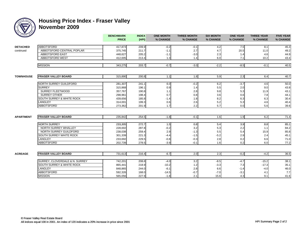

### **Housing Price Index - Fraser Valley November 2009**

| ESTATE           |                                | <b>BENCHMARK</b><br><b>PRICE</b> | <b>INDEX</b><br>(HPI) | <b>ONE MONTH</b><br>% CHANGE | <b>THREE MONTH</b><br>% CHANGE | <b>SIX MONTH</b><br>% CHANGE | <b>ONE YEAR</b><br>% CHANGE | <b>THREE YEAR</b><br>% CHANGE | <b>FIVE YEAR</b><br>% CHANGE |
|------------------|--------------------------------|----------------------------------|-----------------------|------------------------------|--------------------------------|------------------------------|-----------------------------|-------------------------------|------------------------------|
| <b>DETACHED</b>  | <b>ABBOTSFORD</b>              | 417,873                          | 209.9                 | $-0.2$                       | $-0.1$                         | 4.2                          | 7.5                         | 8.1                           | 45.3                         |
| continued        | ABBOTSFORD CENTRAL POPLAR      | 375,745                          | 211.7                 | $-1.1$                       | 2.7                            | 4.7                          | 20.5                        | 11.0                          | 49.2                         |
|                  | ABBOTSFORD EAST                | 448,627                          | 205.2                 | $-1.1$                       | $-3.0$                         | 2.3                          | 1.4                         | 4.6                           | 44.9                         |
|                  | ABBOTSFORD WEST                | 412,005                          | 213.4                 | 1.3                          | 1.4                            | 6.0                          | 7.1                         | 10.2                          | 43.4                         |
|                  |                                |                                  |                       |                              |                                |                              |                             |                               |                              |
|                  | <b>MISSION</b>                 | 343,275                          | 203.7                 | $-0.7$                       | $-3.0$                         | $-2.2$                       | $-8.5$                      | $-0.1$                        | 40.5                         |
|                  |                                |                                  |                       |                              |                                |                              |                             |                               |                              |
| <b>TOWNHOUSE</b> | <b>FRASER VALLEY BOARD</b>     | 315,890                          | 200.8                 | 1.1                          | 1.8                            | 5.9                          | 2.3                         | 6.4                           | 40.7                         |
|                  | NORTH SURREY GUILDFORD         | 281,307                          | 241.1                 | 6.0                          | $-0.2$                         | 6.2                          | $-3.7$                      | 4.6                           | 50.0                         |
|                  | <b>SURREY</b>                  | 315,868                          | 196.1                 | 0.9                          | 1.4                            | 5.5                          | 2.0                         | 9.0                           | 43.8                         |
|                  | <b>SURREY FLEETWOOD</b>        | 357,767                          | 190.8                 | 1.1                          | 2.8                            | 9.8                          | 5.3                         | 11.9                          | 43.1                         |
|                  | <b>SURREY OTHER</b>            | 298,961                          | 198.4                 | 0.7                          | 0.8                            | 3.6                          | 0.6                         | 7.8                           | 44.1                         |
|                  | SOUTH SURREY & WHITE ROCK      | 439,656                          | 185.8                 | $-1.4$                       | 1.8                            | 8.2                          | 6.3                         | 6.3                           | 30.4                         |
|                  | LANGLEY                        | 314,001                          | 199.3                 | 0.6                          | 2.6                            | 5.2                          | 5.3                         | 4.6                           | 40.4                         |
|                  | <b>ABBOTSFORD</b>              | 273,362                          | 201.9                 | 1.7                          | 2.2                            | 5.7                          | 0.0                         | 5.6                           | 39.6                         |
|                  |                                |                                  |                       |                              |                                |                              |                             |                               |                              |
| <b>APARTMENT</b> | <b>FRASER VALLEY BOARD</b>     | 235,842                          | 254.5                 | $-1.8$                       | $-0.1$                         | 1.6                          | 1.9                         | 6.2                           | 71.4                         |
|                  | <b>NORTH SURREY</b>            | 233,305                          | 272.7                 | 1.5                          | 0.8                            | 5.4                          | 3.9                         | 8.8                           | 85.1                         |
|                  | NORTH SURREY WHALLEY           | 228,002                          | 287.8                 | $-0.2$                       | 3.2                            | 5.3                          | 2.2                         | 1.1                           | 84.2                         |
|                  | NORTH SURREY GUILDFORD         | 238,038                          | 259.4                 | 2.9                          | $-1.3$                         | 5.5                          | 5.4                         | 15.9                          | 85.8                         |
|                  | SOUTH SURREY WHITE ROCK        | 301,339                          | 221.3                 | $-4.4$                       | $-1.5$                         | $-5.2$                       | 2.9                         | 2.4                           | 45.1                         |
|                  | LANGLEY                        | 233,692                          | 229.5                 | $-0.8$                       | $-0.3$                         | 2.8                          | 0.2                         | 6.6                           | 71.0                         |
|                  | <b>ABBOTSFORD</b>              | 202,739                          | 278.5                 | $-3.9$                       | $-0.1$                         | 1.6                          | 0.2                         | 6.0                           | 77.2                         |
|                  |                                |                                  |                       |                              |                                |                              |                             |                               |                              |
| <b>ACREAGE</b>   | <b>FRASER VALLEY BOARD</b>     | 731,613                          | 216.4                 | $-6.7$                       | 2.0                            | 2.3                          | $-0.2$                      | $-4.2$                        | 36.5                         |
|                  |                                |                                  |                       |                              |                                |                              |                             |                               |                              |
|                  | SURREY, CLOVERDALE & N. SURREY | 742,201                          | 208.8                 | $-4.0$                       | 3.2                            | $-8.5$                       | $-4.7$                      | $-15.2$                       | 38.1                         |
|                  | SOUTH SURREY & WHITE ROCK      | 865,441                          | 218.9                 | $-10.2$                      | 1.2                            | $-3.3$                       | 7.3                         | $-17.3$                       | 35.1                         |
|                  | LANGLEY                        | 848,865                          | 244.0                 | $-6.1$                       | 2.8                            | 6.6                          | $-1.4$                      | $-4.0$                        | 46.0                         |
|                  | ABBOTSFORD                     | 592,326                          | 168.0                 | $-14.5$                      | $-0.7$                         | $-7.0$                       | $-3.1$                      | 4.1                           | 7.7                          |
|                  | <b>MISSION</b>                 | 565,056                          | 227.9                 | $-1.8$                       | 2.1                            | 15.6                         | 4.3                         | 9.1                           | 41.6                         |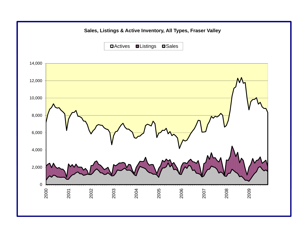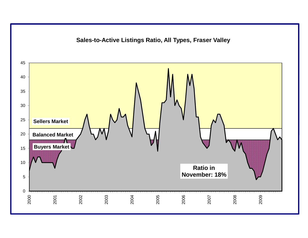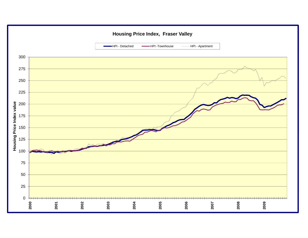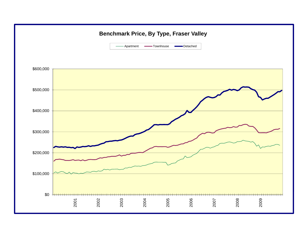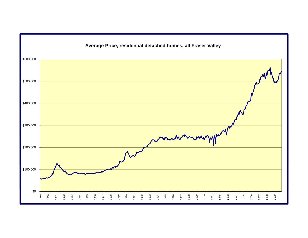